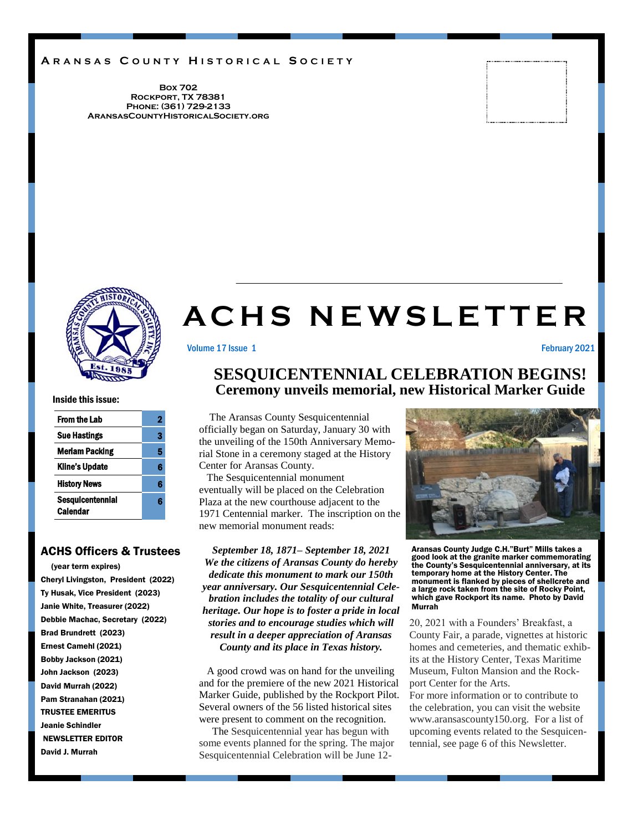### **A R A N S A S C O U N T Y H I S T O R I C A L S O C I E T Y**

**Box 702 Rockport, TX 78381 Phone: (361) 729-2133 AransasCountyHistoricalSociety.org**



# **A C H S N E W S L E T T E R**

Volume 17 Issue 1 **February 2021** 

Inside this issue:

| 2 |
|---|
| 3 |
| 5 |
| 6 |
| 6 |
| R |
|   |

### ACHS Officers & Trustees

 (year term expires) Cheryl Livingston, President (2022) Ty Husak, Vice President (2023) Janie White, Treasurer (2022) Debbie Machac, Secretary (2022) Brad Brundrett (2023) Ernest Camehl (2021) Bobby Jackson (2021) John Jackson (2023) David Murrah (2022) Pam Stranahan (2021) TRUSTEE EMERITUS Jeanie Schindler NEWSLETTER EDITOR David J. Murrah

### **SESQUICENTENNIAL CELEBRATION BEGINS! Ceremony unveils memorial, new Historical Marker Guide**

 The Aransas County Sesquicentennial officially began on Saturday, January 30 with the unveiling of the 150th Anniversary Memorial Stone in a ceremony staged at the History Center for Aransas County.

 The Sesquicentennial monument eventually will be placed on the Celebration Plaza at the new courthouse adjacent to the 1971 Centennial marker. The inscription on the new memorial monument reads:

*September 18, 1871– September 18, 2021 We the citizens of Aransas County do hereby dedicate this monument to mark our 150th year anniversary. Our Sesquicentennial Celebration includes the totality of our cultural heritage. Our hope is to foster a pride in local stories and to encourage studies which will result in a deeper appreciation of Aransas County and its place in Texas history.* 

A good crowd was on hand for the unveiling and for the premiere of the new 2021 Historical Marker Guide, published by the Rockport Pilot. Several owners of the 56 listed historical sites were present to comment on the recognition.

 The Sesquicentennial year has begun with some events planned for the spring. The major Sesquicentennial Celebration will be June 12-



Aransas County Judge C.H."Burt" Mills takes a good look at the granite marker commemorating the County's Sesquicentennial anniversary, at its temporary home at the History Center. The monument is flanked by pieces of shellcrete and a large rock taken from the site of Rocky Point, which gave Rockport its name. Photo by David Murrah

20, 2021 with a Founders' Breakfast, a County Fair, a parade, vignettes at historic homes and cemeteries, and thematic exhibits at the History Center, Texas Maritime Museum, Fulton Mansion and the Rockport Center for the Arts.

For more information or to contribute to the celebration, you can visit the website www.aransascounty150.org. For a list of upcoming events related to the Sesquicentennial, see page 6 of this Newsletter.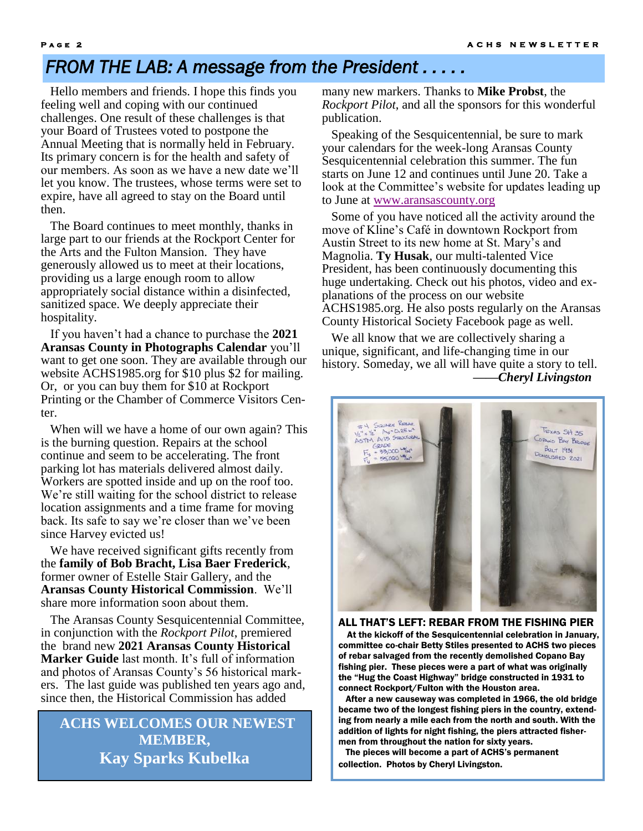## *FROM THE LAB: A message from the President . . . . .*

 Hello members and friends. I hope this finds you feeling well and coping with our continued challenges. One result of these challenges is that your Board of Trustees voted to postpone the Annual Meeting that is normally held in February. Its primary concern is for the health and safety of our members. As soon as we have a new date we'll let you know. The trustees, whose terms were set to expire, have all agreed to stay on the Board until then.

 The Board continues to meet monthly, thanks in large part to our friends at the Rockport Center for the Arts and the Fulton Mansion. They have generously allowed us to meet at their locations, providing us a large enough room to allow appropriately social distance within a disinfected, sanitized space. We deeply appreciate their hospitality.

 If you haven't had a chance to purchase the **2021 Aransas County in Photographs Calendar** you'll want to get one soon. They are available through our website ACHS1985.org for \$10 plus \$2 for mailing. Or, or you can buy them for \$10 at Rockport Printing or the Chamber of Commerce Visitors Center.

 When will we have a home of our own again? This is the burning question. Repairs at the school continue and seem to be accelerating. The front parking lot has materials delivered almost daily. Workers are spotted inside and up on the roof too. We're still waiting for the school district to release location assignments and a time frame for moving back. Its safe to say we're closer than we've been since Harvey evicted us!

 We have received significant gifts recently from the **family of Bob Bracht, Lisa Baer Frederick**, former owner of Estelle Stair Gallery, and the **Aransas County Historical Commission**. We'll share more information soon about them.

 The Aransas County Sesquicentennial Committee, in conjunction with the *Rockport Pilot*, premiered the brand new **2021 Aransas County Historical Marker Guide** last month. It's full of information and photos of Aransas County's 56 historical markers. The last guide was published ten years ago and, since then, the Historical Commission has added

 **ACHS WELCOMES OUR NEWEST MEMBER, Kay Sparks Kubelka**

many new markers. Thanks to **Mike Probst**, the *Rockport Pilot*, and all the sponsors for this wonderful publication.

 Speaking of the Sesquicentennial, be sure to mark your calendars for the week-long Aransas County Sesquicentennial celebration this summer. The fun starts on June 12 and continues until June 20. Take a look at the Committee's website for updates leading up to June at [www.aransascounty.org](http://www.aransascounty.org)

 Some of you have noticed all the activity around the move of Kline's Café in downtown Rockport from Austin Street to its new home at St. Mary's and Magnolia. **Ty Husak**, our multi-talented Vice President, has been continuously documenting this huge undertaking. Check out his photos, video and explanations of the process on our website ACHS1985.org. He also posts regularly on the Aransas County Historical Society Facebook page as well.

We all know that we are collectively sharing a unique, significant, and life-changing time in our history. Someday, we all will have quite a story to tell. *——Cheryl Livingston*



### ALL THAT'S LEFT: REBAR FROM THE FISHING PIER At the kickoff of the Sesquicentennial celebration in January, committee co-chair Betty Stiles presented to ACHS two pieces of rebar salvaged from the recently demolished Copano Bay fishing pier. These pieces were a part of what was originally the "Hug the Coast Highway" bridge constructed in 1931 to

connect Rockport/Fulton with the Houston area. After a new causeway was completed in 1966, the old bridge became two of the longest fishing piers in the country, extending from nearly a mile each from the north and south. With the addition of lights for night fishing, the piers attracted fishermen from throughout the nation for sixty years.

 The pieces will become a part of ACHS's permanent collection. Photos by Cheryl Livingston.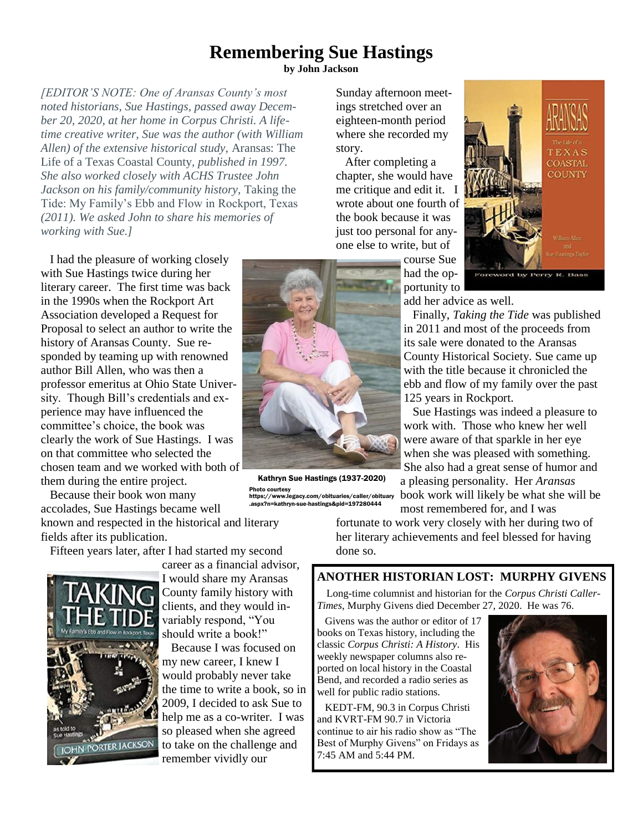## **Remembering Sue Hastings by John Jackson**

*[EDITOR'S NOTE: One of Aransas County's most noted historians, Sue Hastings, passed away December 20, 2020, at her home in Corpus Christi. A lifetime creative writer, Sue was the author (with William Allen) of the extensive historical study,* Aransas: The Life of a Texas Coastal County*, published in 1997. She also worked closely with ACHS Trustee John Jackson on his family/community history,* Taking the Tide: My Family's Ebb and Flow in Rockport, Texas *(2011). We asked John to share his memories of working with Sue.]*

 I had the pleasure of working closely with Sue Hastings twice during her literary career. The first time was back in the 1990s when the Rockport Art Association developed a Request for Proposal to select an author to write the history of Aransas County. Sue responded by teaming up with renowned author Bill Allen, who was then a professor emeritus at Ohio State University. Though Bill's credentials and experience may have influenced the committee's choice, the book was clearly the work of Sue Hastings. I was on that committee who selected the chosen team and we worked with both of them during the entire project.

 Because their book won many accolades, Sue Hastings became well known and respected in the historical and literary

fields after its publication.

Fifteen years later, after I had started my second



career as a financial advisor, I would share my Aransas County family history with clients, and they would invariably respond, "You should write a book!"

 Because I was focused on my new career, I knew I would probably never take the time to write a book, so in 2009, I decided to ask Sue to help me as a co-writer. I was so pleased when she agreed to take on the challenge and remember vividly our

Sunday afternoon meetings stretched over an eighteen-month period where she recorded my story.

 After completing a chapter, she would have me critique and edit it. I wrote about one fourth of the book because it was just too personal for anyone else to write, but of

course Sue had the opportunity to



add her advice as well.

 Finally, *Taking the Tide* was published in 2011 and most of the proceeds from its sale were donated to the Aransas County Historical Society. Sue came up with the title because it chronicled the ebb and flow of my family over the past 125 years in Rockport.

 Sue Hastings was indeed a pleasure to work with. Those who knew her well were aware of that sparkle in her eye when she was pleased with something. She also had a great sense of humor and a pleasing personality. Her *Aransas* book work will likely be what she will be most remembered for, and I was

fortunate to work very closely with her during two of her literary achievements and feel blessed for having done so.

### **ANOTHER HISTORIAN LOST: MURPHY GIVENS**

Long-time columnist and historian for the *Corpus Christi Caller-Times*, Murphy Givens died December 27, 2020. He was 76.

 Givens was the author or editor of 17 books on Texas history, including the classic *Corpus Christi: A History*. His weekly newspaper columns also reported on local history in the Coastal Bend, and recorded a radio series as well for public radio stations.

 KEDT-FM, 90.3 in Corpus Christi and KVRT-FM 90.7 in Victoria continue to air his radio show as "The Best of Murphy Givens" on Fridays as 7:45 AM and 5:44 PM.





Kathryn Sue Hastings (1937-2020) Photo courtesy https://www.legacy.com/obituaries/caller/obituary .aspx?n=kathryn-sue-hastings&pid=197280444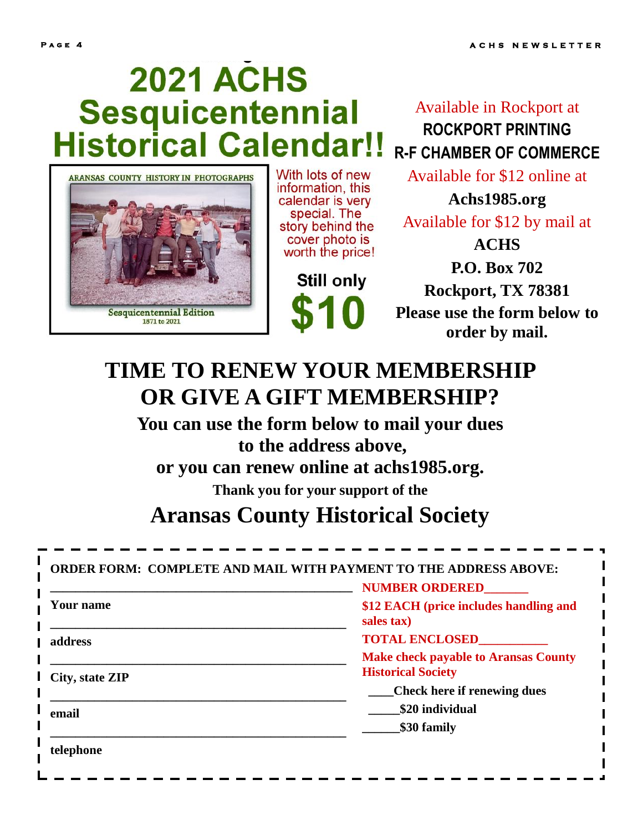**telephone**

# **2021 ACHS** Sesquicentennial **Historical Calendar!!**



With lots of new information, this calendar is very special. The story behind the cover photo is worth the price!

Still only

Available in Rockport at **ROCKPORT PRINTING R-F CHAMBER OF COMMERCE**

Available for \$12 online at

**Achs1985.org** Available for \$12 by mail at **ACHS P.O. Box 702 Rockport, TX 78381 Please use the form below to order by mail.**

## **TIME TO RENEW YOUR MEMBERSHIP OR GIVE A GIFT MEMBERSHIP?**

**You can use the form below to mail your dues to the address above,** 

**or you can renew online at achs1985.org.**

**Thank you for your support of the**

## **Aransas County Historical Society**

## **ORDER FORM: COMPLETE AND MAIL WITH PAYMENT TO THE ADDRESS ABOVE:**

**\_\_\_\_\_\_\_\_\_\_\_\_\_\_\_\_\_\_\_\_\_\_\_\_\_\_\_\_\_\_\_\_\_\_\_\_\_\_\_\_\_\_\_\_\_\_\_\_ Your name \_\_\_\_\_\_\_\_\_\_\_\_\_\_\_\_\_\_\_\_\_\_\_\_\_\_\_\_\_\_\_\_\_\_\_\_\_\_\_\_\_\_\_\_\_\_\_ address \_\_\_\_\_\_\_\_\_\_\_\_\_\_\_\_\_\_\_\_\_\_\_\_\_\_\_\_\_\_\_\_\_\_\_\_\_\_\_\_\_\_\_\_\_\_\_ City, state ZIP \_\_\_\_\_\_\_\_\_\_\_\_\_\_\_\_\_\_\_\_\_\_\_\_\_\_\_\_\_\_\_\_\_\_\_\_\_\_\_\_\_\_\_\_\_\_\_ email \_\_\_\_\_\_\_\_\_\_\_\_\_\_\_\_\_\_\_\_\_\_\_\_\_\_\_\_\_\_\_\_\_\_\_\_\_\_\_\_\_\_\_\_\_\_\_ NUMBER ORDERED\_\_\_\_\_\_\_ \$12 EACH (price includes handling and sales tax) TOTAL ENCLOSED\_\_\_\_\_\_\_\_\_\_\_ Make check payable to Aransas County Historical Society \_\_\_\_Check here if renewing dues \_\_\_\_\_\$20 individual \_\_\_\_\_\_\$30 family**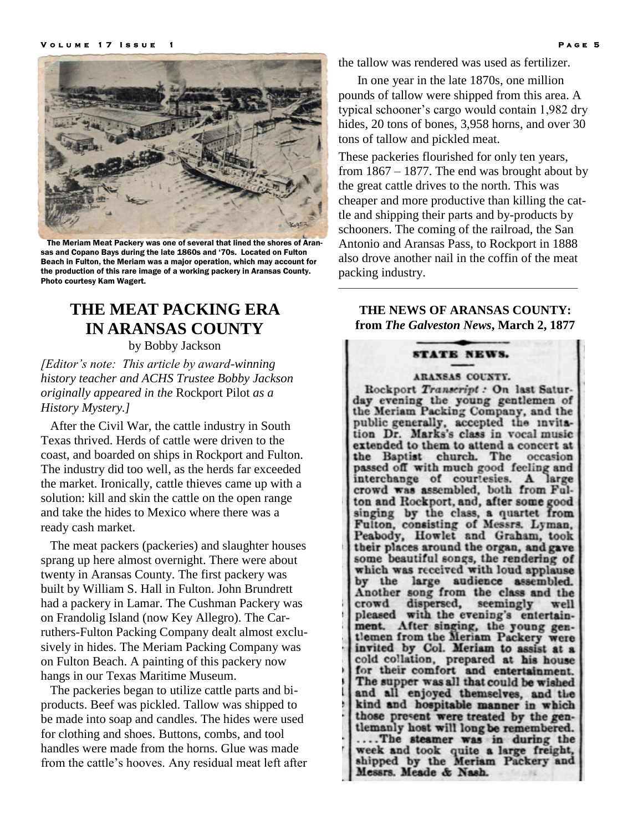

 The Meriam Meat Packery was one of several that lined the shores of Aransas and Copano Bays during the late 1860s and '70s. Located on Fulton Beach in Fulton, the Meriam was a major operation, which may account for the production of this rare image of a working packery in Aransas County. Photo courtesy Kam Wagert.

## **THE MEAT PACKING ERA IN ARANSAS COUNTY**

by Bobby Jackson

*[Editor's note: This article by award-winning history teacher and ACHS Trustee Bobby Jackson originally appeared in the* Rockport Pilot *as a History Mystery.]*

 After the Civil War, the cattle industry in South Texas thrived. Herds of cattle were driven to the coast, and boarded on ships in Rockport and Fulton. The industry did too well, as the herds far exceeded the market. Ironically, cattle thieves came up with a solution: kill and skin the cattle on the open range and take the hides to Mexico where there was a ready cash market.

 The meat packers (packeries) and slaughter houses sprang up here almost overnight. There were about twenty in Aransas County. The first packery was built by William S. Hall in Fulton. John Brundrett had a packery in Lamar. The Cushman Packery was on Frandolig Island (now Key Allegro). The Carruthers-Fulton Packing Company dealt almost exclusively in hides. The Meriam Packing Company was on Fulton Beach. A painting of this packery now hangs in our Texas Maritime Museum.

 The packeries began to utilize cattle parts and biproducts. Beef was pickled. Tallow was shipped to be made into soap and candles. The hides were used for clothing and shoes. Buttons, combs, and tool handles were made from the horns. Glue was made from the cattle's hooves. Any residual meat left after the tallow was rendered was used as fertilizer.

 In one year in the late 1870s, one million pounds of tallow were shipped from this area. A typical schooner's cargo would contain 1,982 dry hides, 20 tons of bones, 3,958 horns, and over 30 tons of tallow and pickled meat.

These packeries flourished for only ten years, from 1867 – 1877. The end was brought about by the great cattle drives to the north. This was cheaper and more productive than killing the cattle and shipping their parts and by-products by schooners. The coming of the railroad, the San Antonio and Aransas Pass, to Rockport in 1888 also drove another nail in the coffin of the meat packing industry.

**THE NEWS OF ARANSAS COUNTY: from** *The Galveston News***, March 2, 1877**

———————————————————

### **STATE NEWS.**

#### ARANSAS COUNTY.

Rockport Transcript : On last Saturday evening the young gentlemen of the Meriam Packing Company, and the public generally, accepted the invitation Dr. Marks's class in vocal music extended to them to attend a concert at the Baptist church. The occasion passed off with much good feeling and interchange of courtesies. A large crowd was assembled, both from Fulton and Rockport, and, after some good singing by the class, a quartet from<br>Fulton, consisting of Messrs. Lyman, Peabody, Howlet and Graham, took their places around the organ, and gave some beautiful songs, the rendering of which was received with loud applause by the large audience assembled. Another song from the class and the crowd dispersed, seemingly well<br>pleased with the evening's entertainment. After singing, the young gentlemen from the Meriam Packery were<br>invited by Col. Meriam to assist at a cold collation, prepared at his house for their comfort and entertainment. The supper was all that could be wished and all enjoyed themselves, and the kind and hospitable manner in which those present were treated by the gentlemanly host will long be remembered. ....The steamer was in during the week and took quite a large freight,<br>shipped by the Meriam Packery and Messrs. Meade & Nash.